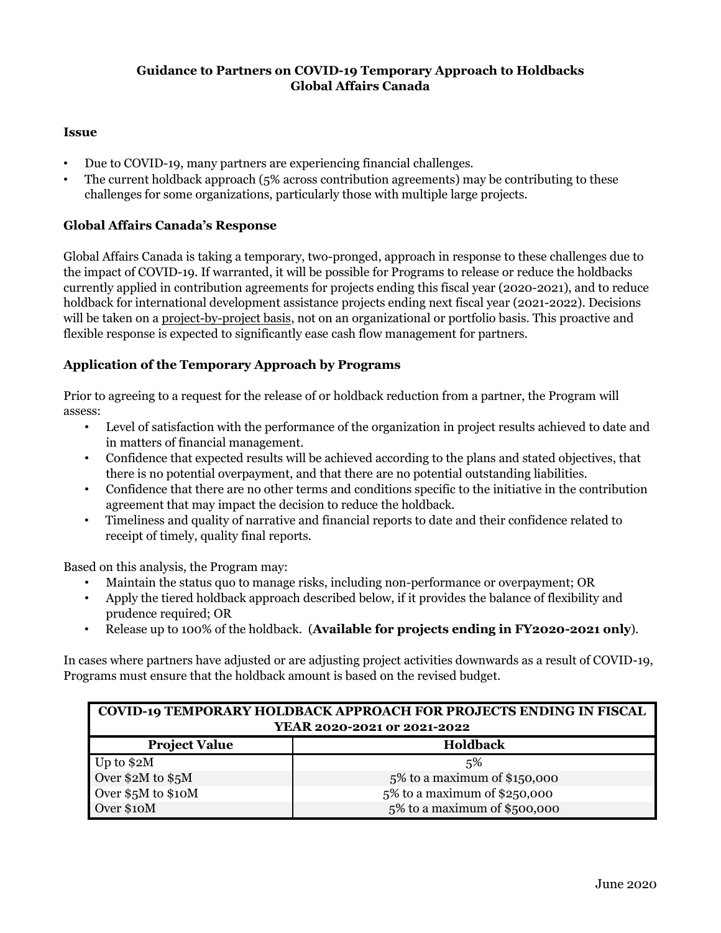## **Guidance to Partners on COVID-19 Temporary Approach to Holdbacks Global Affairs Canada**

#### **Issue**

- Due to COVID-19, many partners are experiencing financial challenges.
- The current holdback approach (5% across contribution agreements) may be contributing to these challenges for some organizations, particularly those with multiple large projects.

## **Global Affairs Canada's Response**

Global Affairs Canada is taking a temporary, two-pronged, approach in response to these challenges due to the impact of COVID-19. If warranted, it will be possible for Programs to release or reduce the holdbacks currently applied in contribution agreements for projects ending this fiscal year (2020-2021), and to reduce holdback for international development assistance projects ending next fiscal year (2021-2022). Decisions will be taken on a project-by-project basis, not on an organizational or portfolio basis. This proactive and flexible response is expected to significantly ease cash flow management for partners.

## **Application of the Temporary Approach by Programs**

Prior to agreeing to a request for the release of or holdback reduction from a partner, the Program will assess:

- Level of satisfaction with the performance of the organization in project results achieved to date and in matters of financial management.
- Confidence that expected results will be achieved according to the plans and stated objectives, that there is no potential overpayment, and that there are no potential outstanding liabilities.
- Confidence that there are no other terms and conditions specific to the initiative in the contribution agreement that may impact the decision to reduce the holdback.
- Timeliness and quality of narrative and financial reports to date and their confidence related to receipt of timely, quality final reports.

Based on this analysis, the Program may:

- Maintain the status quo to manage risks, including non-performance or overpayment; OR
- Apply the tiered holdback approach described below, if it provides the balance of flexibility and prudence required; OR
- Release up to 100% of the holdback. (**Available for projects ending in FY2020-2021 only**).

In cases where partners have adjusted or are adjusting project activities downwards as a result of COVID-19, Programs must ensure that the holdback amount is based on the revised budget.

| <b>COVID-19 TEMPORARY HOLDBACK APPROACH FOR PROJECTS ENDING IN FISCAL</b><br>YEAR 2020-2021 or 2021-2022 |                              |
|----------------------------------------------------------------------------------------------------------|------------------------------|
| <b>Project Value</b>                                                                                     | Holdback                     |
| Up to $$2M$                                                                                              | 5%                           |
| Over \$2M to \$5M                                                                                        | 5% to a maximum of \$150,000 |
| Over \$5M to \$10M                                                                                       | 5% to a maximum of \$250,000 |
| Over \$10M                                                                                               | 5% to a maximum of \$500,000 |